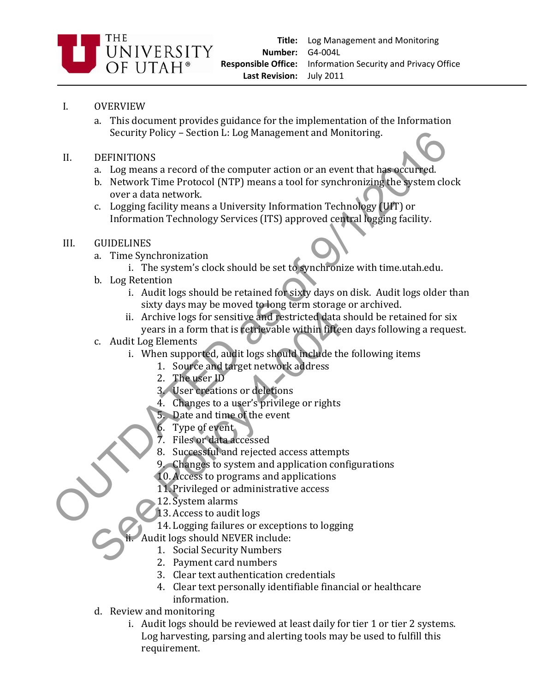

## I. OVERVIEW

- a. This document provides guidance for the implementation of the Information Security Policy – Section L: Log Management and Monitoring.
- II. DEFINITIONS
	- a. Log means a record of the computer action or an event that has occurred.
- b. Network Time Protocol (NTP) means a tool for synchronizing the system clock over a data network. Security Policy – Section L: Log Management and Monitoring<br>
1. DEFINITIONS<br>
2. Log means a record of the computer action or an event that has accurated.<br>
b. Network Time Protocol (NTP) means a tool for synchronizing the sy
	- c. Logging facility means a University Information Technology (UIT) or Information Technology Services (ITS) approved central logging facility.

## III. GUIDELINES

- a. Time Synchronization
	- i. The system's clock should be set to synchronize with time.utah.edu.
- b. Log Retention
	- i. Audit logs should be retained for sixty days on disk. Audit logs older than sixty days may be moved to long term storage or archived.
- ii. Archive logs for sensitive and restricted data should be retained for six years in a form that is retrievable within fifteen days following a request. ii. Archive logs for sensitive and restricted data<br>
years in a form that is tetrievable within fifted<br>
c. Audit Log Elements<br>
i. When supported, audit logs should include th<br>
1. Source and target network address<br>
2. The us
- c. Audit Log Elements
	- i. When supported, audit logs should include the following items
		- 1. Source and target network address
		- 2. The user ID
		- 3. User creations or deletions
		- 4. Changes to a user's privilege or rights
		- 5. Date and time of the event
		- 6. Type of event
		- 7. Files or data accessed
		- 8. Successful and rejected access attempts
		- 9. Changes to system and application configurations
		- 10. Access to programs and applications
		- 11. Privileged or administrative access
		- 12. System alarms
		- 13. Access to audit logs
		- 14. Logging failures or exceptions to logging
	- Audit logs should NEVER include:
		- 1. Social Security Numbers
		- 2. Payment card numbers
		- 3. Clear text authentication credentials
		- 4. Clear text personally identifiable financial or healthcare information.
- d. Review and monitoring
	- i. Audit logs should be reviewed at least daily for tier 1 or tier 2 systems. Log harvesting, parsing and alerting tools may be used to fulfill this requirement.